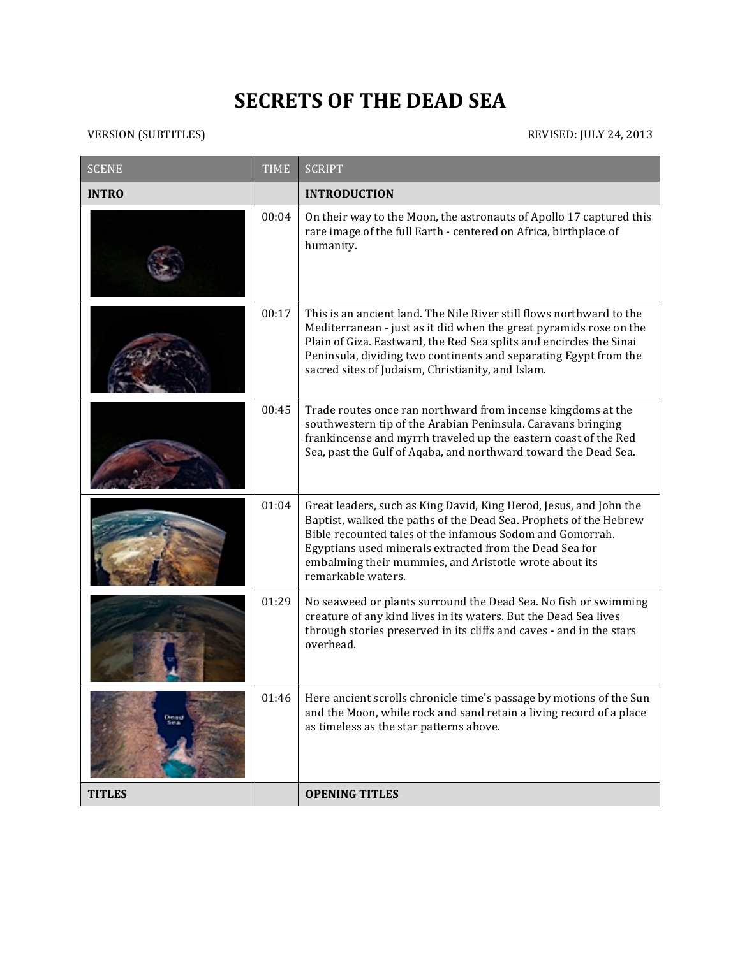## **SECRETS OF THE DEAD SEA**

## VERSION (SUBTITLES) REVISED: JULY 24, 2013

| <b>SCENE</b>  | <b>TIME</b> | <b>SCRIPT</b>                                                                                                                                                                                                                                                                                                                                   |
|---------------|-------------|-------------------------------------------------------------------------------------------------------------------------------------------------------------------------------------------------------------------------------------------------------------------------------------------------------------------------------------------------|
| <b>INTRO</b>  |             | <b>INTRODUCTION</b>                                                                                                                                                                                                                                                                                                                             |
|               | 00:04       | On their way to the Moon, the astronauts of Apollo 17 captured this<br>rare image of the full Earth - centered on Africa, birthplace of<br>humanity.                                                                                                                                                                                            |
|               | 00:17       | This is an ancient land. The Nile River still flows northward to the<br>Mediterranean - just as it did when the great pyramids rose on the<br>Plain of Giza. Eastward, the Red Sea splits and encircles the Sinai<br>Peninsula, dividing two continents and separating Egypt from the<br>sacred sites of Judaism, Christianity, and Islam.      |
|               | 00:45       | Trade routes once ran northward from incense kingdoms at the<br>southwestern tip of the Arabian Peninsula. Caravans bringing<br>frankincense and myrrh traveled up the eastern coast of the Red<br>Sea, past the Gulf of Aqaba, and northward toward the Dead Sea.                                                                              |
|               | 01:04       | Great leaders, such as King David, King Herod, Jesus, and John the<br>Baptist, walked the paths of the Dead Sea. Prophets of the Hebrew<br>Bible recounted tales of the infamous Sodom and Gomorrah.<br>Egyptians used minerals extracted from the Dead Sea for<br>embalming their mummies, and Aristotle wrote about its<br>remarkable waters. |
|               | 01:29       | No seaweed or plants surround the Dead Sea. No fish or swimming<br>creature of any kind lives in its waters. But the Dead Sea lives<br>through stories preserved in its cliffs and caves - and in the stars<br>overhead.                                                                                                                        |
| Dead          | 01:46       | Here ancient scrolls chronicle time's passage by motions of the Sun<br>and the Moon, while rock and sand retain a living record of a place<br>as timeless as the star patterns above.                                                                                                                                                           |
| <b>TITLES</b> |             | <b>OPENING TITLES</b>                                                                                                                                                                                                                                                                                                                           |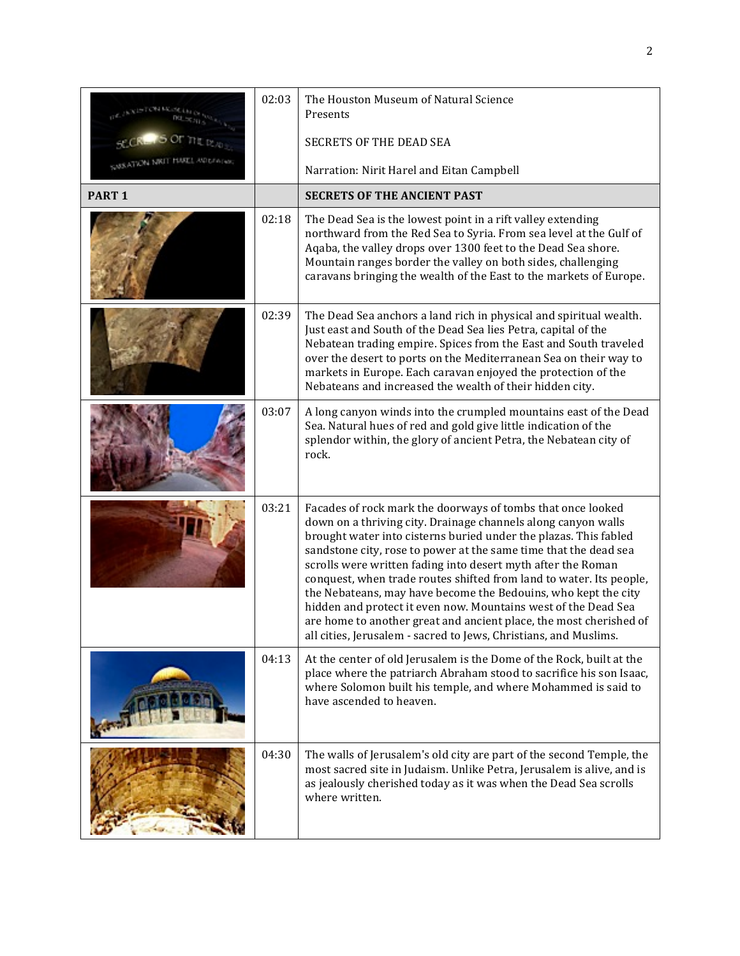|               | 02:03 | The Houston Museum of Natural Science<br>Presents                                                                                                                                                                                                                                                                                                                                                                                                                                                                                                                                                                                                                                         |
|---------------|-------|-------------------------------------------------------------------------------------------------------------------------------------------------------------------------------------------------------------------------------------------------------------------------------------------------------------------------------------------------------------------------------------------------------------------------------------------------------------------------------------------------------------------------------------------------------------------------------------------------------------------------------------------------------------------------------------------|
|               |       | <b>SECRETS OF THE DEAD SEA</b>                                                                                                                                                                                                                                                                                                                                                                                                                                                                                                                                                                                                                                                            |
|               |       | Narration: Nirit Harel and Eitan Campbell                                                                                                                                                                                                                                                                                                                                                                                                                                                                                                                                                                                                                                                 |
| <b>PART 1</b> |       | <b>SECRETS OF THE ANCIENT PAST</b>                                                                                                                                                                                                                                                                                                                                                                                                                                                                                                                                                                                                                                                        |
|               | 02:18 | The Dead Sea is the lowest point in a rift valley extending<br>northward from the Red Sea to Syria. From sea level at the Gulf of<br>Aqaba, the valley drops over 1300 feet to the Dead Sea shore.<br>Mountain ranges border the valley on both sides, challenging<br>caravans bringing the wealth of the East to the markets of Europe.                                                                                                                                                                                                                                                                                                                                                  |
|               | 02:39 | The Dead Sea anchors a land rich in physical and spiritual wealth.<br>Just east and South of the Dead Sea lies Petra, capital of the<br>Nebatean trading empire. Spices from the East and South traveled<br>over the desert to ports on the Mediterranean Sea on their way to<br>markets in Europe. Each caravan enjoyed the protection of the<br>Nebateans and increased the wealth of their hidden city.                                                                                                                                                                                                                                                                                |
|               | 03:07 | A long canyon winds into the crumpled mountains east of the Dead<br>Sea. Natural hues of red and gold give little indication of the<br>splendor within, the glory of ancient Petra, the Nebatean city of<br>rock.                                                                                                                                                                                                                                                                                                                                                                                                                                                                         |
|               | 03:21 | Facades of rock mark the doorways of tombs that once looked<br>down on a thriving city. Drainage channels along canyon walls<br>brought water into cisterns buried under the plazas. This fabled<br>sandstone city, rose to power at the same time that the dead sea<br>scrolls were written fading into desert myth after the Roman<br>conquest, when trade routes shifted from land to water. Its people,<br>the Nebateans, may have become the Bedouins, who kept the city<br>hidden and protect it even now. Mountains west of the Dead Sea<br>are home to another great and ancient place, the most cherished of<br>all cities, Jerusalem - sacred to Jews, Christians, and Muslims. |
|               | 04:13 | At the center of old Jerusalem is the Dome of the Rock, built at the<br>place where the patriarch Abraham stood to sacrifice his son Isaac,<br>where Solomon built his temple, and where Mohammed is said to<br>have ascended to heaven.                                                                                                                                                                                                                                                                                                                                                                                                                                                  |
|               | 04:30 | The walls of Jerusalem's old city are part of the second Temple, the<br>most sacred site in Judaism. Unlike Petra, Jerusalem is alive, and is<br>as jealously cherished today as it was when the Dead Sea scrolls<br>where written.                                                                                                                                                                                                                                                                                                                                                                                                                                                       |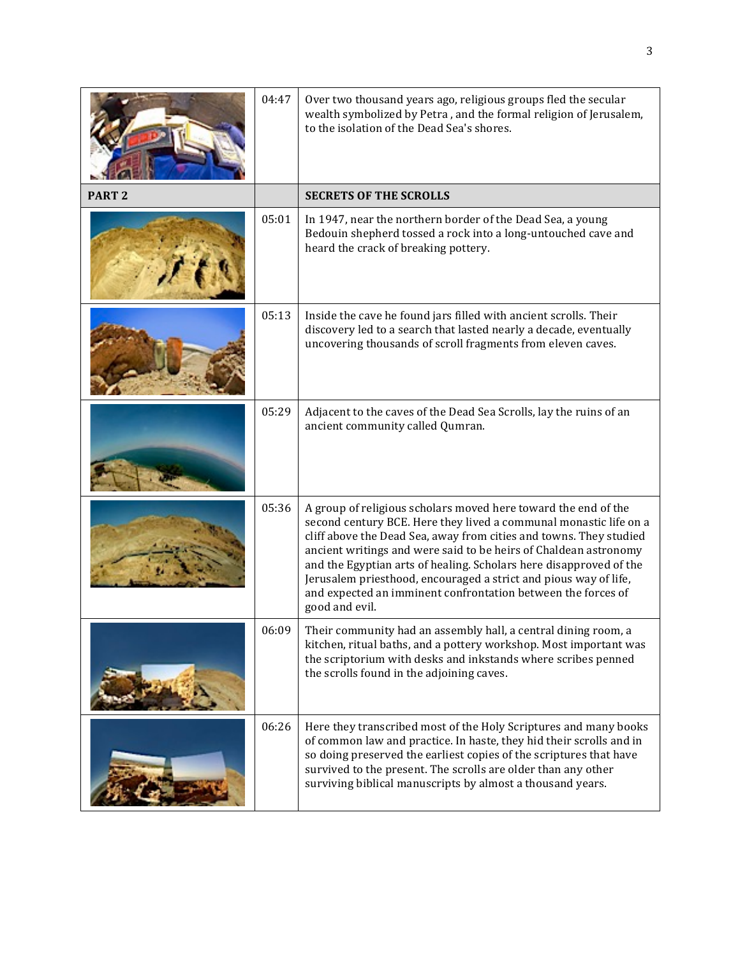|                   | 04:47 | Over two thousand years ago, religious groups fled the secular<br>wealth symbolized by Petra, and the formal religion of Jerusalem,<br>to the isolation of the Dead Sea's shores.                                                                                                                                                                                                                                                                                                                         |
|-------------------|-------|-----------------------------------------------------------------------------------------------------------------------------------------------------------------------------------------------------------------------------------------------------------------------------------------------------------------------------------------------------------------------------------------------------------------------------------------------------------------------------------------------------------|
| PART <sub>2</sub> |       | <b>SECRETS OF THE SCROLLS</b>                                                                                                                                                                                                                                                                                                                                                                                                                                                                             |
|                   | 05:01 | In 1947, near the northern border of the Dead Sea, a young<br>Bedouin shepherd tossed a rock into a long-untouched cave and<br>heard the crack of breaking pottery.                                                                                                                                                                                                                                                                                                                                       |
|                   | 05:13 | Inside the cave he found jars filled with ancient scrolls. Their<br>discovery led to a search that lasted nearly a decade, eventually<br>uncovering thousands of scroll fragments from eleven caves.                                                                                                                                                                                                                                                                                                      |
|                   | 05:29 | Adjacent to the caves of the Dead Sea Scrolls, lay the ruins of an<br>ancient community called Qumran.                                                                                                                                                                                                                                                                                                                                                                                                    |
|                   | 05:36 | A group of religious scholars moved here toward the end of the<br>second century BCE. Here they lived a communal monastic life on a<br>cliff above the Dead Sea, away from cities and towns. They studied<br>ancient writings and were said to be heirs of Chaldean astronomy<br>and the Egyptian arts of healing. Scholars here disapproved of the<br>Jerusalem priesthood, encouraged a strict and pious way of life,<br>and expected an imminent confrontation between the forces of<br>good and evil. |
|                   | 06:09 | Their community had an assembly hall, a central dining room, a<br>kitchen, ritual baths, and a pottery workshop. Most important was<br>the scriptorium with desks and inkstands where scribes penned<br>the scrolls found in the adjoining caves.                                                                                                                                                                                                                                                         |
|                   | 06:26 | Here they transcribed most of the Holy Scriptures and many books<br>of common law and practice. In haste, they hid their scrolls and in<br>so doing preserved the earliest copies of the scriptures that have<br>survived to the present. The scrolls are older than any other<br>surviving biblical manuscripts by almost a thousand years.                                                                                                                                                              |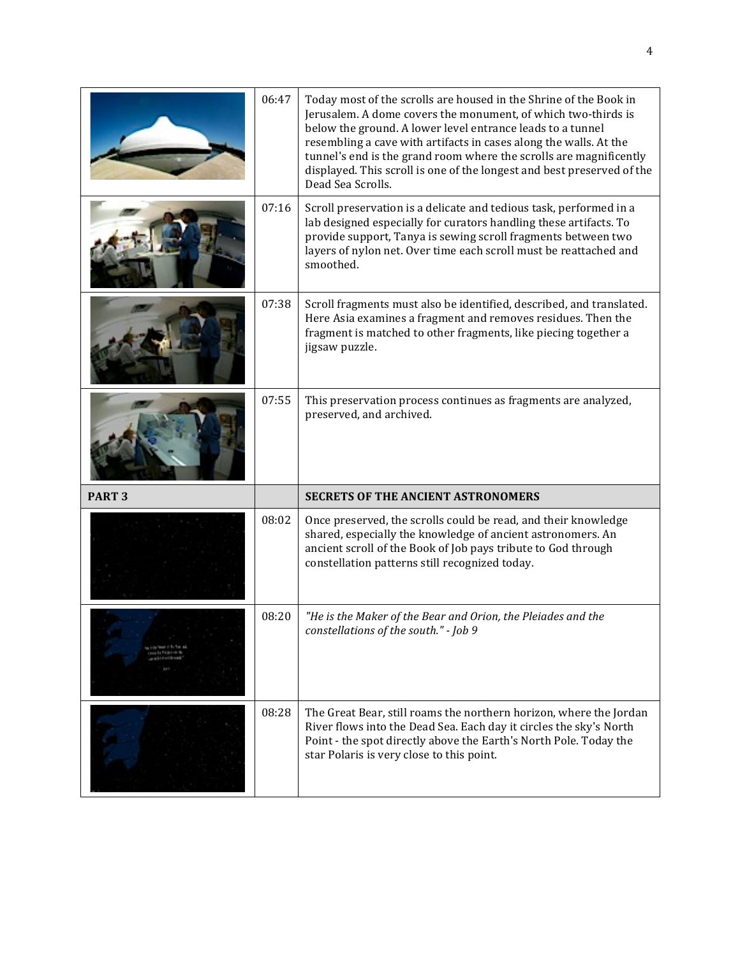|                   | 06:47 | Today most of the scrolls are housed in the Shrine of the Book in<br>Jerusalem. A dome covers the monument, of which two-thirds is<br>below the ground. A lower level entrance leads to a tunnel<br>resembling a cave with artifacts in cases along the walls. At the<br>tunnel's end is the grand room where the scrolls are magnificently<br>displayed. This scroll is one of the longest and best preserved of the<br>Dead Sea Scrolls. |
|-------------------|-------|--------------------------------------------------------------------------------------------------------------------------------------------------------------------------------------------------------------------------------------------------------------------------------------------------------------------------------------------------------------------------------------------------------------------------------------------|
|                   | 07:16 | Scroll preservation is a delicate and tedious task, performed in a<br>lab designed especially for curators handling these artifacts. To<br>provide support, Tanya is sewing scroll fragments between two<br>layers of nylon net. Over time each scroll must be reattached and<br>smoothed.                                                                                                                                                 |
|                   | 07:38 | Scroll fragments must also be identified, described, and translated.<br>Here Asia examines a fragment and removes residues. Then the<br>fragment is matched to other fragments, like piecing together a<br>jigsaw puzzle.                                                                                                                                                                                                                  |
|                   | 07:55 | This preservation process continues as fragments are analyzed,<br>preserved, and archived.                                                                                                                                                                                                                                                                                                                                                 |
| PART <sub>3</sub> |       | <b>SECRETS OF THE ANCIENT ASTRONOMERS</b>                                                                                                                                                                                                                                                                                                                                                                                                  |
|                   | 08:02 | Once preserved, the scrolls could be read, and their knowledge<br>shared, especially the knowledge of ancient astronomers. An<br>ancient scroll of the Book of Job pays tribute to God through<br>constellation patterns still recognized today.                                                                                                                                                                                           |
|                   |       |                                                                                                                                                                                                                                                                                                                                                                                                                                            |
|                   | 08:20 | "He is the Maker of the Bear and Orion, the Pleiades and the<br>constellations of the south." - Job 9                                                                                                                                                                                                                                                                                                                                      |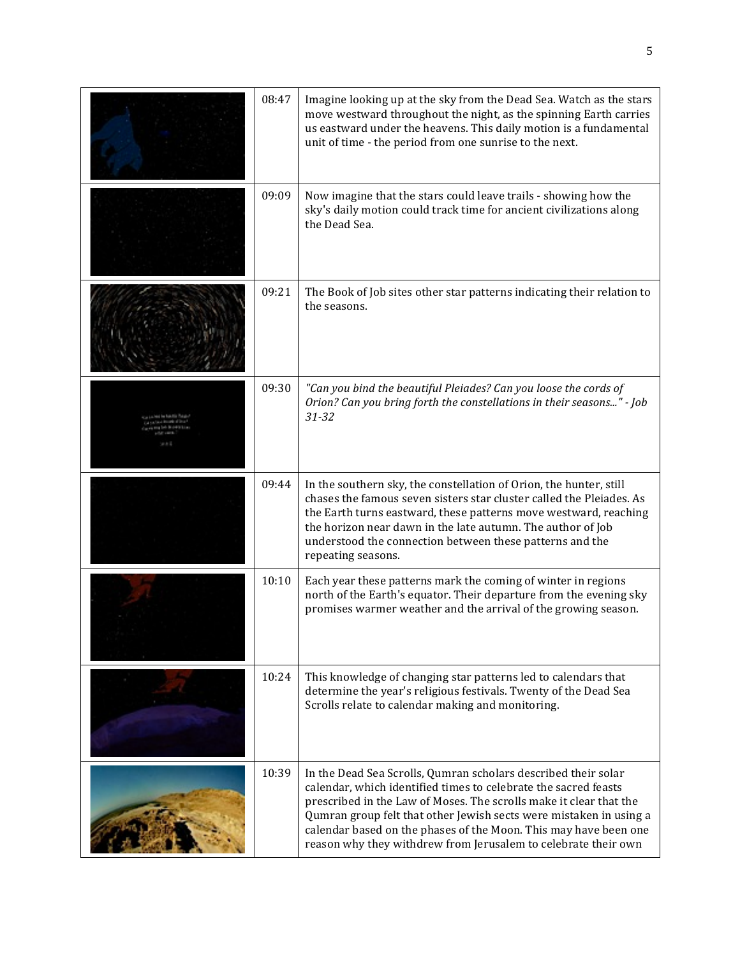| 08:47 | Imagine looking up at the sky from the Dead Sea. Watch as the stars<br>move westward throughout the night, as the spinning Earth carries<br>us eastward under the heavens. This daily motion is a fundamental<br>unit of time - the period from one sunrise to the next.                                                                                                                                            |
|-------|---------------------------------------------------------------------------------------------------------------------------------------------------------------------------------------------------------------------------------------------------------------------------------------------------------------------------------------------------------------------------------------------------------------------|
| 09:09 | Now imagine that the stars could leave trails - showing how the<br>sky's daily motion could track time for ancient civilizations along<br>the Dead Sea.                                                                                                                                                                                                                                                             |
| 09:21 | The Book of Job sites other star patterns indicating their relation to<br>the seasons.                                                                                                                                                                                                                                                                                                                              |
| 09:30 | "Can you bind the beautiful Pleiades? Can you loose the cords of<br>Orion? Can you bring forth the constellations in their seasons" - Job<br>$31 - 32$                                                                                                                                                                                                                                                              |
| 09:44 | In the southern sky, the constellation of Orion, the hunter, still<br>chases the famous seven sisters star cluster called the Pleiades. As<br>the Earth turns eastward, these patterns move westward, reaching<br>the horizon near dawn in the late autumn. The author of Job<br>understood the connection between these patterns and the<br>repeating seasons.                                                     |
| 10:10 | Each year these patterns mark the coming of winter in regions<br>north of the Earth's equator. Their departure from the evening sky<br>promises warmer weather and the arrival of the growing season.                                                                                                                                                                                                               |
| 10:24 | This knowledge of changing star patterns led to calendars that<br>determine the year's religious festivals. Twenty of the Dead Sea<br>Scrolls relate to calendar making and monitoring.                                                                                                                                                                                                                             |
| 10:39 | In the Dead Sea Scrolls, Qumran scholars described their solar<br>calendar, which identified times to celebrate the sacred feasts<br>prescribed in the Law of Moses. The scrolls make it clear that the<br>Qumran group felt that other Jewish sects were mistaken in using a<br>calendar based on the phases of the Moon. This may have been one<br>reason why they withdrew from Jerusalem to celebrate their own |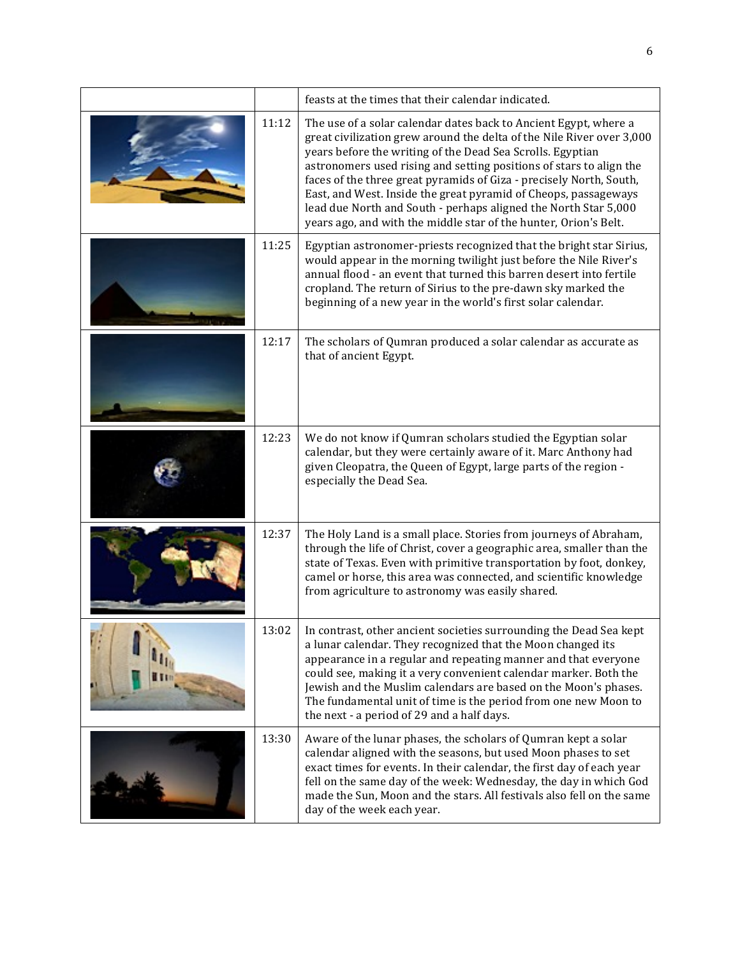|       | feasts at the times that their calendar indicated.                                                                                                                                                                                                                                                                                                                                                                                                                                                                                                              |
|-------|-----------------------------------------------------------------------------------------------------------------------------------------------------------------------------------------------------------------------------------------------------------------------------------------------------------------------------------------------------------------------------------------------------------------------------------------------------------------------------------------------------------------------------------------------------------------|
| 11:12 | The use of a solar calendar dates back to Ancient Egypt, where a<br>great civilization grew around the delta of the Nile River over 3,000<br>years before the writing of the Dead Sea Scrolls. Egyptian<br>astronomers used rising and setting positions of stars to align the<br>faces of the three great pyramids of Giza - precisely North, South,<br>East, and West. Inside the great pyramid of Cheops, passageways<br>lead due North and South - perhaps aligned the North Star 5,000<br>years ago, and with the middle star of the hunter, Orion's Belt. |
| 11:25 | Egyptian astronomer-priests recognized that the bright star Sirius,<br>would appear in the morning twilight just before the Nile River's<br>annual flood - an event that turned this barren desert into fertile<br>cropland. The return of Sirius to the pre-dawn sky marked the<br>beginning of a new year in the world's first solar calendar.                                                                                                                                                                                                                |
| 12:17 | The scholars of Qumran produced a solar calendar as accurate as<br>that of ancient Egypt.                                                                                                                                                                                                                                                                                                                                                                                                                                                                       |
| 12:23 | We do not know if Qumran scholars studied the Egyptian solar<br>calendar, but they were certainly aware of it. Marc Anthony had<br>given Cleopatra, the Queen of Egypt, large parts of the region -<br>especially the Dead Sea.                                                                                                                                                                                                                                                                                                                                 |
| 12:37 | The Holy Land is a small place. Stories from journeys of Abraham,<br>through the life of Christ, cover a geographic area, smaller than the<br>state of Texas. Even with primitive transportation by foot, donkey,<br>camel or horse, this area was connected, and scientific knowledge<br>from agriculture to astronomy was easily shared.                                                                                                                                                                                                                      |
| 13:02 | In contrast, other ancient societies surrounding the Dead Sea kept<br>a lunar calendar. They recognized that the Moon changed its<br>appearance in a regular and repeating manner and that everyone<br>could see, making it a very convenient calendar marker. Both the<br>Jewish and the Muslim calendars are based on the Moon's phases.<br>The fundamental unit of time is the period from one new Moon to<br>the next - a period of 29 and a half days.                                                                                                     |
| 13:30 | Aware of the lunar phases, the scholars of Qumran kept a solar<br>calendar aligned with the seasons, but used Moon phases to set<br>exact times for events. In their calendar, the first day of each year<br>fell on the same day of the week: Wednesday, the day in which God<br>made the Sun, Moon and the stars. All festivals also fell on the same<br>day of the week each year.                                                                                                                                                                           |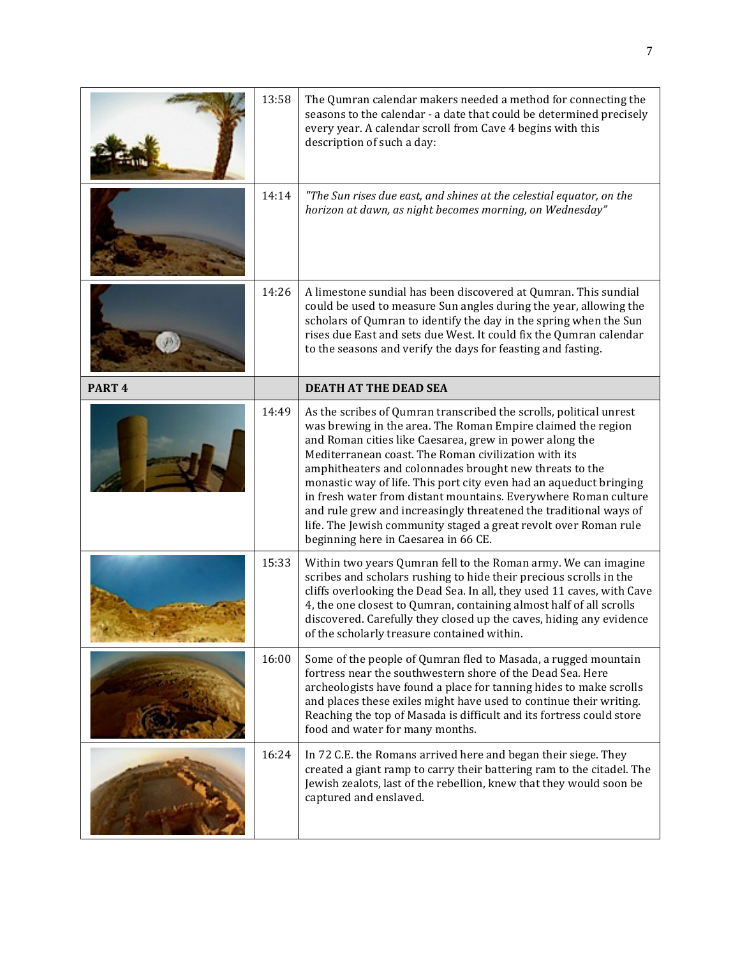|                   | 13:58 | The Qumran calendar makers needed a method for connecting the<br>seasons to the calendar - a date that could be determined precisely<br>every year. A calendar scroll from Cave 4 begins with this<br>description of such a day:                                                                                                                                                                                                                                                                                                                                                                                                           |
|-------------------|-------|--------------------------------------------------------------------------------------------------------------------------------------------------------------------------------------------------------------------------------------------------------------------------------------------------------------------------------------------------------------------------------------------------------------------------------------------------------------------------------------------------------------------------------------------------------------------------------------------------------------------------------------------|
|                   | 14:14 | "The Sun rises due east, and shines at the celestial equator, on the<br>horizon at dawn, as night becomes morning, on Wednesday"                                                                                                                                                                                                                                                                                                                                                                                                                                                                                                           |
|                   | 14:26 | A limestone sundial has been discovered at Qumran. This sundial<br>could be used to measure Sun angles during the year, allowing the<br>scholars of Qumran to identify the day in the spring when the Sun<br>rises due East and sets due West. It could fix the Qumran calendar<br>to the seasons and verify the days for feasting and fasting.                                                                                                                                                                                                                                                                                            |
| PART <sub>4</sub> |       | <b>DEATH AT THE DEAD SEA</b>                                                                                                                                                                                                                                                                                                                                                                                                                                                                                                                                                                                                               |
|                   | 14:49 | As the scribes of Qumran transcribed the scrolls, political unrest<br>was brewing in the area. The Roman Empire claimed the region<br>and Roman cities like Caesarea, grew in power along the<br>Mediterranean coast. The Roman civilization with its<br>amphitheaters and colonnades brought new threats to the<br>monastic way of life. This port city even had an aqueduct bringing<br>in fresh water from distant mountains. Everywhere Roman culture<br>and rule grew and increasingly threatened the traditional ways of<br>life. The Jewish community staged a great revolt over Roman rule<br>beginning here in Caesarea in 66 CE. |
|                   | 15:33 | Within two years Qumran fell to the Roman army. We can imagine<br>scribes and scholars rushing to hide their precious scrolls in the<br>cliffs overlooking the Dead Sea. In all, they used 11 caves, with Cave<br>4, the one closest to Qumran, containing almost half of all scrolls<br>discovered. Carefully they closed up the caves, hiding any evidence<br>of the scholarly treasure contained within.                                                                                                                                                                                                                                |
|                   | 16:00 | Some of the people of Qumran fled to Masada, a rugged mountain<br>fortress near the southwestern shore of the Dead Sea. Here<br>archeologists have found a place for tanning hides to make scrolls<br>and places these exiles might have used to continue their writing.<br>Reaching the top of Masada is difficult and its fortress could store<br>food and water for many months.                                                                                                                                                                                                                                                        |
|                   | 16:24 | In 72 C.E. the Romans arrived here and began their siege. They<br>created a giant ramp to carry their battering ram to the citadel. The<br>Jewish zealots, last of the rebellion, knew that they would soon be<br>captured and enslaved.                                                                                                                                                                                                                                                                                                                                                                                                   |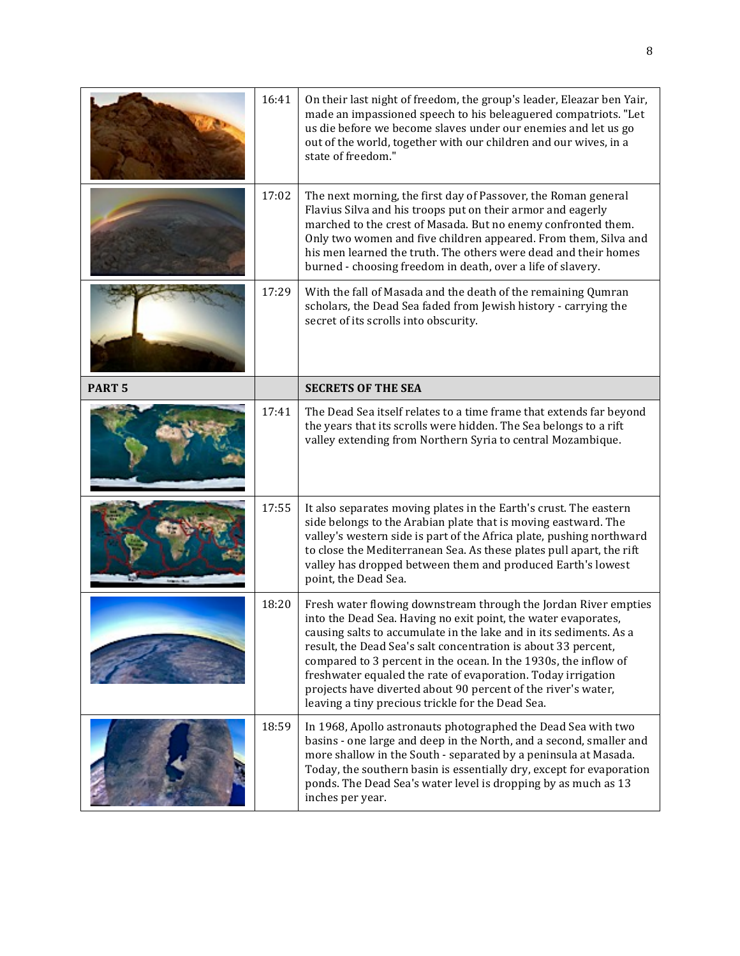|               | 16:41 | On their last night of freedom, the group's leader, Eleazar ben Yair,<br>made an impassioned speech to his beleaguered compatriots. "Let<br>us die before we become slaves under our enemies and let us go<br>out of the world, together with our children and our wives, in a<br>state of freedom."                                                                                                                                                                                                                               |
|---------------|-------|------------------------------------------------------------------------------------------------------------------------------------------------------------------------------------------------------------------------------------------------------------------------------------------------------------------------------------------------------------------------------------------------------------------------------------------------------------------------------------------------------------------------------------|
|               | 17:02 | The next morning, the first day of Passover, the Roman general<br>Flavius Silva and his troops put on their armor and eagerly<br>marched to the crest of Masada. But no enemy confronted them.<br>Only two women and five children appeared. From them, Silva and<br>his men learned the truth. The others were dead and their homes<br>burned - choosing freedom in death, over a life of slavery.                                                                                                                                |
|               | 17:29 | With the fall of Masada and the death of the remaining Qumran<br>scholars, the Dead Sea faded from Jewish history - carrying the<br>secret of its scrolls into obscurity.                                                                                                                                                                                                                                                                                                                                                          |
| <b>PART 5</b> |       | <b>SECRETS OF THE SEA</b>                                                                                                                                                                                                                                                                                                                                                                                                                                                                                                          |
|               | 17:41 | The Dead Sea itself relates to a time frame that extends far beyond<br>the years that its scrolls were hidden. The Sea belongs to a rift<br>valley extending from Northern Syria to central Mozambique.                                                                                                                                                                                                                                                                                                                            |
|               | 17:55 | It also separates moving plates in the Earth's crust. The eastern<br>side belongs to the Arabian plate that is moving eastward. The<br>valley's western side is part of the Africa plate, pushing northward<br>to close the Mediterranean Sea. As these plates pull apart, the rift<br>valley has dropped between them and produced Earth's lowest<br>point, the Dead Sea.                                                                                                                                                         |
|               | 18:20 | Fresh water flowing downstream through the Jordan River empties<br>into the Dead Sea. Having no exit point, the water evaporates,<br>causing salts to accumulate in the lake and in its sediments. As a<br>result, the Dead Sea's salt concentration is about 33 percent,<br>compared to 3 percent in the ocean. In the 1930s, the inflow of<br>freshwater equaled the rate of evaporation. Today irrigation<br>projects have diverted about 90 percent of the river's water,<br>leaving a tiny precious trickle for the Dead Sea. |
|               | 18:59 | In 1968, Apollo astronauts photographed the Dead Sea with two<br>basins - one large and deep in the North, and a second, smaller and<br>more shallow in the South - separated by a peninsula at Masada.<br>Today, the southern basin is essentially dry, except for evaporation<br>ponds. The Dead Sea's water level is dropping by as much as 13<br>inches per year.                                                                                                                                                              |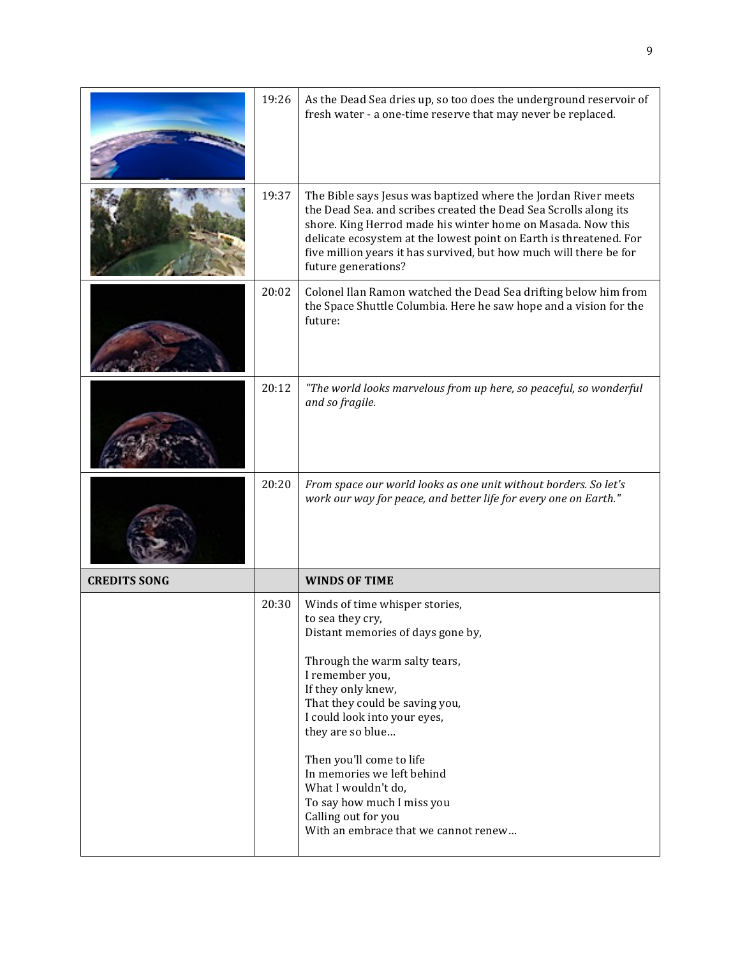| 19:26 | As the Dead Sea dries up, so too does the underground reservoir of<br>fresh water - a one-time reserve that may never be replaced.                                                                                                                                                                                                                                                            |
|-------|-----------------------------------------------------------------------------------------------------------------------------------------------------------------------------------------------------------------------------------------------------------------------------------------------------------------------------------------------------------------------------------------------|
| 19:37 | The Bible says Jesus was baptized where the Jordan River meets<br>the Dead Sea. and scribes created the Dead Sea Scrolls along its<br>shore. King Herrod made his winter home on Masada. Now this<br>delicate ecosystem at the lowest point on Earth is threatened. For<br>five million years it has survived, but how much will there be for<br>future generations?                          |
| 20:02 | Colonel Ilan Ramon watched the Dead Sea drifting below him from<br>the Space Shuttle Columbia. Here he saw hope and a vision for the<br>future:                                                                                                                                                                                                                                               |
| 20:12 | "The world looks marvelous from up here, so peaceful, so wonderful<br>and so fragile.                                                                                                                                                                                                                                                                                                         |
| 20:20 | From space our world looks as one unit without borders. So let's<br>work our way for peace, and better life for every one on Earth."                                                                                                                                                                                                                                                          |
|       | <b>WINDS OF TIME</b>                                                                                                                                                                                                                                                                                                                                                                          |
| 20:30 | Winds of time whisper stories,<br>to sea they cry,<br>Distant memories of days gone by,<br>Through the warm salty tears,<br>I remember you,<br>If they only knew,<br>That they could be saving you,<br>I could look into your eyes,<br>they are so blue<br>Then you'll come to life<br>In memories we left behind<br>What I wouldn't do,<br>To say how much I miss you<br>Calling out for you |
|       |                                                                                                                                                                                                                                                                                                                                                                                               |